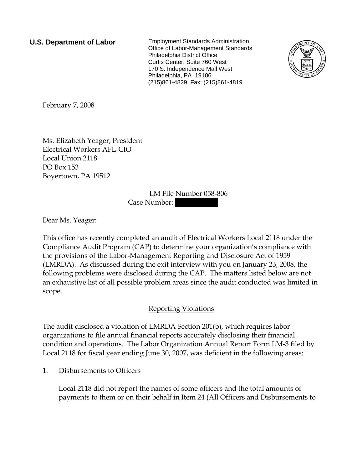**U.S. Department of Labor** Employment Standards Administration Office of Labor-Management Standards Philadelphia District Office Curtis Center, Suite 760 West 170 S. Independence Mall West Philadelphia, PA 19106 (215)861-4829 Fax: (215)861-4819



February 7, 2008

Ms. Elizabeth Yeager, President Electrical Workers AFL-CIO Local Union 2118 PO Box 153 Boyertown, PA 19512

> LM File Number 058-806 Case Number:

Dear Ms. Yeager:

This office has recently completed an audit of Electrical Workers Local 2118 under the Compliance Audit Program (CAP) to determine your organization's compliance with the provisions of the Labor-Management Reporting and Disclosure Act of 1959 (LMRDA). As discussed during the exit interview with you on January 23, 2008, the following problems were disclosed during the CAP. The matters listed below are not an exhaustive list of all possible problem areas since the audit conducted was limited in scope.

## Reporting Violations

The audit disclosed a violation of LMRDA Section 201(b), which requires labor organizations to file annual financial reports accurately disclosing their financial condition and operations. The Labor Organization Annual Report Form LM-3 filed by Local 2118 for fiscal year ending June 30, 2007, was deficient in the following areas:

1. Disbursements to Officers

Local 2118 did not report the names of some officers and the total amounts of payments to them or on their behalf in Item 24 (All Officers and Disbursements to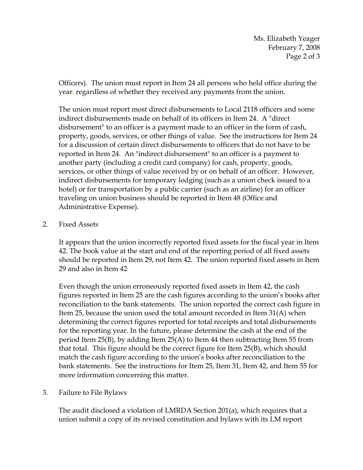Ms. Elizabeth Yeager February 7, 2008 Page 2 of 3

Officers). The union must report in Item 24 all persons who held office during the year, regardless of whether they received any payments from the union.

The union must report most direct disbursements to Local 2118 officers and some indirect disbursements made on behalf of its officers in Item 24. A "direct disbursement" to an officer is a payment made to an officer in the form of cash, property, goods, services, or other things of value. See the instructions for Item 24 for a discussion of certain direct disbursements to officers that do not have to be reported in Item 24. An "indirect disbursement" to an officer is a payment to another party (including a credit card company) for cash, property, goods, services, or other things of value received by or on behalf of an officer. However, indirect disbursements for temporary lodging (such as a union check issued to a hotel) or for transportation by a public carrier (such as an airline) for an officer traveling on union business should be reported in Item 48 (Office and Administrative Expense).

## 2. Fixed Assets

It appears that the union incorrectly reported fixed assets for the fiscal year in Item 42. The book value at the start and end of the reporting period of all fixed assets should be reported in Item 29, not Item 42. The union reported fixed assets in Item 29 and also in Item 42

Even though the union erroneously reported fixed assets in Item 42, the cash figures reported in Item 25 are the cash figures according to the union's books after reconciliation to the bank statements. The union reported the correct cash figure in Item 25, because the union used the total amount recorded in Item 31(A) when determining the correct figures reported for total receipts and total disbursements for the reporting year. In the future, please determine the cash at the end of the period Item 25(B), by adding Item 25(A) to Item 44 then subtracting Item 55 from that total. This figure should be the correct figure for Item 25(B), which should match the cash figure according to the union's books after reconciliation to the bank statements. See the instructions for Item 25, Item 31, Item 42, and Item 55 for more information concerning this matter.

3. Failure to File Bylaws

The audit disclosed a violation of LMRDA Section 201(a), which requires that a union submit a copy of its revised constitution and bylaws with its LM report